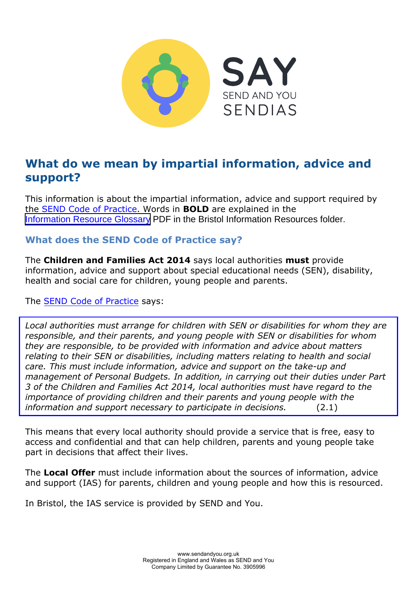

# **What do we mean by impartial information, advice and support?**

This information is about the impartial information, advice and support required by the [SEND Code of Practice.](https://www.gov.uk/government/publications/send-code-of-practice-0-to-25) Words in **BOLD** are explained in the [Information Resource Glossary](https://www.supportiveparents.org.uk/wp-content/uploads/2020/02/Information-Resource-Glossary-REVISED2.pdf) PDF in the Bristol Information Resources folder.

### **What does the SEND Code of Practice say?**

The **Children and Families Act 2014** says local authorities **must** provide information, advice and support about special educational needs (SEN), disability, health and social care for children, young people and parents.

Th[e SEND Code of Practice](https://www.gov.uk/government/publications/send-code-of-practice-0-to-25) says:

*Local authorities must arrange for children with SEN or disabilities for whom they are responsible, and their parents, and young people with SEN or disabilities for whom they are responsible, to be provided with information and advice about matters relating to their SEN or disabilities, including matters relating to health and social care. This must include information, advice and support on the take-up and management of Personal Budgets. In addition, in carrying out their duties under Part 3 of the Children and Families Act 2014, local authorities must have regard to the importance of providing children and their parents and young people with the information and support necessary to participate in decisions.* (2.1)

This means that every local authority should provide a service that is free, easy to access and confidential and that can help children, parents and young people take part in decisions that affect their lives.

The **Local Offer** must include information about the sources of information, advice and support (IAS) for parents, children and young people and how this is resourced.

In Bristol, the IAS service is provided by SEND and You.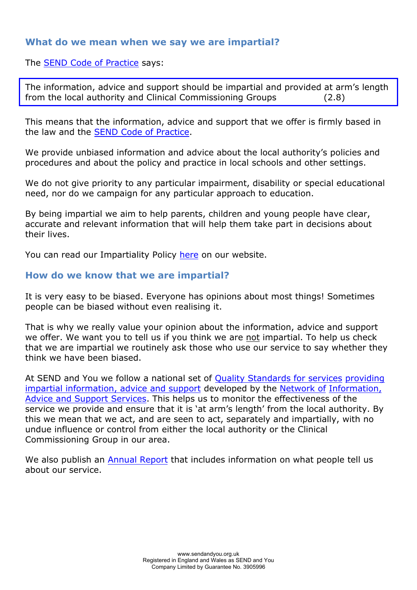### **What do we mean when we say we are impartial?**

The [SEND Code of Practice](https://www.gov.uk/government/publications/send-code-of-practice-0-to-25) says:

The information, advice and support should be impartial and provided at arm's length from the local authority and Clinical Commissioning Groups (2.8)

This means that the information, advice and support that we offer is firmly based in the law and the [SEND Code of Practice.](https://www.gov.uk/government/publications/send-code-of-practice-0-to-25)

We provide unbiased information and advice about the local authority's policies and procedures and about the policy and practice in local schools and other settings.

We do not give priority to any particular impairment, disability or special educational need, nor do we campaign for any particular approach to education.

By being impartial we aim to help parents, children and young people have clear, accurate and relevant information that will help them take part in decisions about their lives.

You can read our Impartiality Polic[y here](https://www.sendandyou.org.uk/wp-content/uploads/2021/08/Impartiality-Policy-newlogo-1.pdf) on our website.

### **How do we know that we are impartial?**

It is very easy to be biased. Everyone has opinions about most things! Sometimes people can be biased without even realising it.

That is why we really value your opinion about the information, advice and support we offer. We want you to tell us if you think we are not impartial. To help us check that we are impartial we routinely ask those who use our service to say whether they think we have been biased.

At SEND and You we follow a national set of Qua[lity Standards for services providing](https://councilfordisabledchildren.org.uk/information-advice-and-support-services-network/resources/ias-services-quality-standards)  [impartial information, advice and support](https://councilfordisabledchildren.org.uk/information-advice-and-support-services-network/resources/ias-services-quality-standards) developed by the Network [of Information,](https://councilfordisabledchildren.org.uk/information-advice-and-support-services-network)  [Advice and Support Services. This helps us](https://councilfordisabledchildren.org.uk/information-advice-and-support-services-network) to monitor the effectiveness of the service we provide and ensure that it is 'at arm's length' from the local authority. By this we mean that we act, and are seen to act, separately and impartially, with no undue influence or control from either the local authority or the Clinical Commissioning Group in our area.

We also publish an [Annual Report](https://www.sendandyou.org.uk/about-us/annual-reports/) that includes information on what people tell us about our service.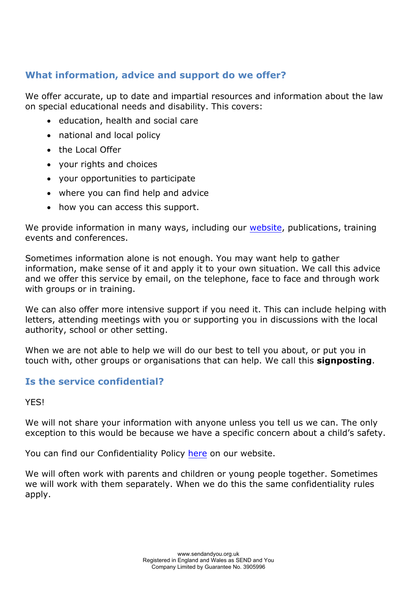# **What information, advice and support do we offer?**

We offer accurate, up to date and impartial resources and information about the law on special educational needs and disability. This covers:

- education, health and social care
- national and local policy
- the Local Offer
- your rights and choices
- your opportunities to participate
- where you can find help and advice
- how you can access this support.

We provide information in many ways, including our [website,](http://www.sendandyou.org.uk/) publications, training events and conferences.

Sometimes information alone is not enough. You may want help to gather information, make sense of it and apply it to your own situation. We call this advice and we offer this service by email, on the telephone, face to face and through work with groups or in training.

We can also offer more intensive support if you need it. This can include helping with letters, attending meetings with you or supporting you in discussions with the local authority, school or other setting.

When we are not able to help we will do our best to tell you about, or put you in touch with, other groups or organisations that can help. We call this **signposting**.

## **Is the service confidential?**

YES!

We will not share your information with anyone unless you tell us we can. The only exception to this would be because we have a specific concern about a child's safety.

You can find our Confidentiality Policy [here](https://www.sendandyou.org.uk/wp-content/uploads/2021/08/Confidentiality-Policy-2019-new.pdf) on our website.

We will often work with parents and children or young people together. Sometimes we will work with them separately. When we do this the same confidentiality rules apply.